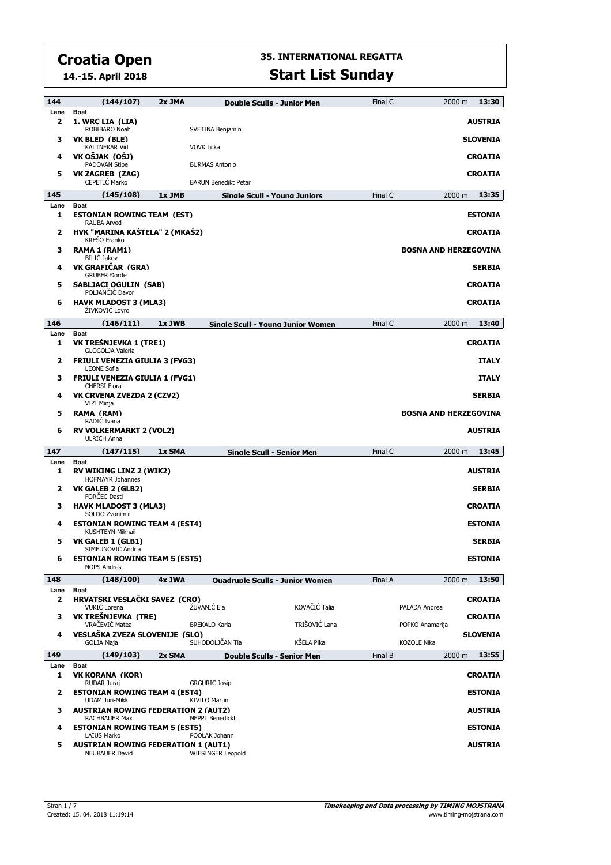**14.-15. April 2018**

| 144         | (144/107)                                                                                 | 2x JMA |                                    | <b>Double Sculls - Junior Men</b>      | Final C | 2000 m                       | 13:30           |
|-------------|-------------------------------------------------------------------------------------------|--------|------------------------------------|----------------------------------------|---------|------------------------------|-----------------|
| Lane        | <b>Boat</b>                                                                               |        |                                    |                                        |         |                              |                 |
| 2           | 1. WRC LIA (LIA)<br>ROBIBARO Noah                                                         |        | SVETINA Benjamin                   |                                        |         |                              | <b>AUSTRIA</b>  |
| з           | VK BLED (BLE)<br><b>KALTNEKAR Vid</b>                                                     |        | VOVK Luka                          |                                        |         |                              | <b>SLOVENIA</b> |
| 4           | VK OŠJAK (OŠJ)                                                                            |        |                                    |                                        |         |                              | <b>CROATIA</b>  |
| 5           | PADOVAN Stipe<br><b>VK ZAGREB (ZAG)</b>                                                   |        | <b>BURMAS Antonio</b>              |                                        |         |                              | <b>CROATIA</b>  |
|             | CEPETIC Marko                                                                             |        | <b>BARUN Benedikt Petar</b>        |                                        |         |                              |                 |
| 145<br>Lane | (145/108)<br><b>Boat</b>                                                                  | 1x JMB |                                    | Single Scull - Young Juniors           | Final C | 2000 m                       | 13:35           |
| 1           | <b>ESTONIAN ROWING TEAM (EST)</b>                                                         |        |                                    |                                        |         |                              | <b>ESTONIA</b>  |
| 2           | <b>RAUBA Arved</b><br>HVK "MARINA KAŠTELA" 2 (MKAŠ2)<br><b>KREŠO Franko</b>               |        |                                    |                                        |         |                              | <b>CROATIA</b>  |
| з           | RAMA 1 (RAM1)<br><b>BILIC Jakov</b>                                                       |        |                                    |                                        |         | <b>BOSNA AND HERZEGOVINA</b> |                 |
| 4           | VK GRAFIČAR (GRA)<br><b>GRUBER Dorde</b>                                                  |        |                                    |                                        |         |                              | <b>SERBIA</b>   |
| 5           | <b>SABLJACI OGULIN (SAB)</b><br>POLJANČIĆ Davor                                           |        |                                    |                                        |         |                              | <b>CROATIA</b>  |
| 6           | <b>HAVK MLADOST 3 (MLA3)</b><br>ŽIVKOVIĆ Lovro                                            |        |                                    |                                        |         |                              | <b>CROATIA</b>  |
| 146         | (146/111)                                                                                 | 1x JWB |                                    | Sinale Scull - Youna Junior Women      | Final C | 2000 m                       | 13:40           |
| Lane<br>1   | <b>Boat</b><br>VK TREŠNJEVKA 1 (TRE1)<br>GLOGOLIA Valeria                                 |        |                                    |                                        |         |                              | <b>CROATIA</b>  |
| 2           | <b>FRIULI VENEZIA GIULIA 3 (FVG3)</b><br><b>LEONE Sofia</b>                               |        |                                    |                                        |         |                              | <b>ITALY</b>    |
| з           | <b>FRIULI VENEZIA GIULIA 1 (FVG1)</b><br><b>CHERSI Flora</b>                              |        |                                    |                                        |         |                              | <b>ITALY</b>    |
| 4           | VK CRVENA ZVEZDA 2 (CZV2)                                                                 |        |                                    |                                        |         |                              | <b>SERBIA</b>   |
| 5           | VIZI Minja<br>RAMA (RAM)                                                                  |        |                                    |                                        |         | <b>BOSNA AND HERZEGOVINA</b> |                 |
| 6           | RADIC Ivana<br><b>RV VOLKERMARKT 2 (VOL2)</b><br><b>ULRICH Anna</b>                       |        |                                    |                                        |         |                              | <b>AUSTRIA</b>  |
| 147         | (147/115)                                                                                 | 1x SMA |                                    | Single Scull - Senior Men              | Final C | 2000 m                       | 13:45           |
| Lane        | <b>Boat</b>                                                                               |        |                                    |                                        |         |                              |                 |
| 1           | <b>RV WIKING LINZ 2 (WIK2)</b><br><b>HOFMAYR Johannes</b>                                 |        |                                    |                                        |         |                              | <b>AUSTRIA</b>  |
| 2           | VK GALEB 2 (GLB2)<br><b>FORCEC Dasti</b>                                                  |        |                                    |                                        |         |                              | <b>SERBIA</b>   |
| з           | <b>HAVK MLADOST 3 (MLA3)</b><br>SOLDO Zvonimir                                            |        |                                    |                                        |         |                              | <b>CROATIA</b>  |
| 4           | <b>ESTONIAN ROWING TEAM 4 (EST4)</b><br>KUSHTEYN Mikhail                                  |        |                                    |                                        |         |                              | <b>ESTONIA</b>  |
| 5           | VK GALEB 1 (GLB1)<br>SIMEUNOVIĆ Andria                                                    |        |                                    |                                        |         |                              | <b>SERBIA</b>   |
| 6           | <b>ESTONIAN ROWING TEAM 5 (EST5)</b><br><b>NOPS Andres</b>                                |        |                                    |                                        |         |                              | <b>ESTONIA</b>  |
| 148         | (148/100)                                                                                 | 4x JWA |                                    | <b>Ouadruple Sculls - Junior Women</b> | Final A | 2000 m                       | 13:50           |
| Lane<br>2   | Boat<br>HRVATSKI VESLAČKI SAVEZ (CRO)<br>VUKIC Lorena                                     |        | ŽUVANIĆ Ela                        | KOVAČIĆ Talia                          |         | PALADA Andrea                | <b>CROATIA</b>  |
| з           | VK TREŠNJEVKA (TRE)<br>VRAČEVIĆ Matea                                                     |        | <b>BREKALO Karla</b>               | TRIŠOVIĆ Lana                          |         | POPKO Anamarija              | <b>CROATIA</b>  |
| 4           | VESLAŠKA ZVEZA SLOVENIJE (SLO)<br>GOLJA Maja                                              |        | SUHODOLJČAN Tia                    | KŠELA Pika                             |         | <b>KOZOLE Nika</b>           | <b>SLOVENIA</b> |
| 149         | (149/103)                                                                                 | 2x SMA |                                    | <b>Double Sculls - Senior Men</b>      | Final B | 2000 m                       | 13:55           |
| Lane<br>1   | Boat<br><b>VK KORANA (KOR)</b>                                                            |        |                                    |                                        |         |                              | <b>CROATIA</b>  |
| 2           | RUDAR Juraj<br><b>ESTONIAN ROWING TEAM 4 (EST4)</b>                                       |        | <b>GRGURIĆ Josip</b>               |                                        |         |                              | <b>ESTONIA</b>  |
| з           | <b>UDAM Juri-Mikk</b><br><b>AUSTRIAN ROWING FEDERATION 2 (AUT2)</b>                       |        | <b>KIVILO Martin</b>               |                                        |         |                              | <b>AUSTRIA</b>  |
| 4           | <b>RACHBAUER Max</b><br><b>ESTONIAN ROWING TEAM 5 (EST5)</b>                              |        | <b>NEPPL Benedickt</b>             |                                        |         |                              | <b>ESTONIA</b>  |
| 5           | <b>LAIUS Marko</b><br><b>AUSTRIAN ROWING FEDERATION 1 (AUT1)</b><br><b>NEUBAUER David</b> |        | POOLAK Johann<br>WIESINGER Leopold |                                        |         |                              | <b>AUSTRIA</b>  |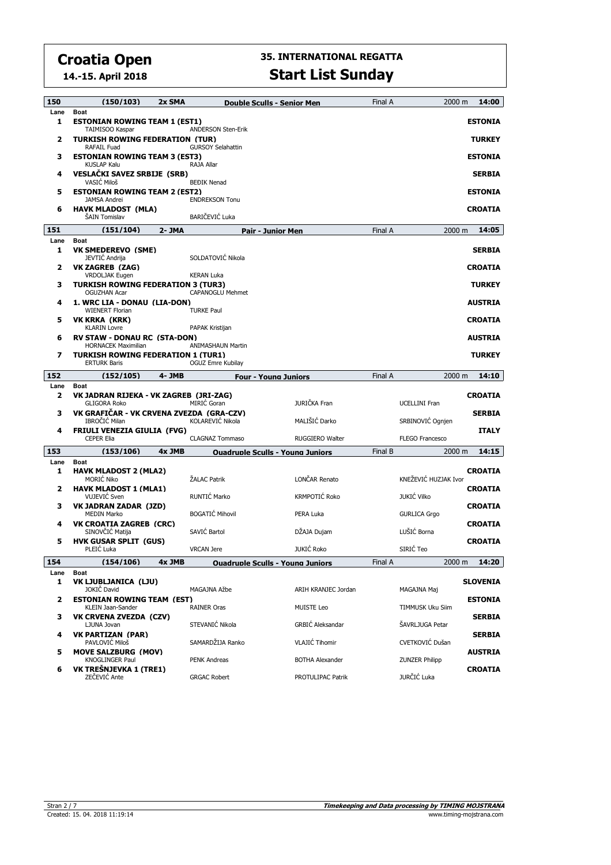**14.-15. April 2018**

# **35. INTERNATIONAL REGATTA**

### **Start List Sunday**

| 150       | (150/103)                                                              | 2x SMA |                           | <b>Double Sculls - Senior Men</b>       | Final A | 2000 m                 | 14:00           |
|-----------|------------------------------------------------------------------------|--------|---------------------------|-----------------------------------------|---------|------------------------|-----------------|
| Lane<br>1 | <b>Boat</b><br><b>ESTONIAN ROWING TEAM 1 (EST1)</b><br>TAIMISOO Kaspar |        | <b>ANDERSON Sten-Erik</b> |                                         |         |                        | <b>ESTONIA</b>  |
| 2         | TURKISH ROWING FEDERATION(TUR)<br>RAFAIL Fuad                          |        | <b>GURSOY Selahattin</b>  |                                         |         |                        | <b>TURKEY</b>   |
| 3         | <b>ESTONIAN ROWING TEAM 3 (EST3)</b><br><b>KUSLAP Kalu</b>             |        | RAJA Allar                |                                         |         |                        | <b>ESTONIA</b>  |
| 4         | <b>VESLAČKI SAVEZ SRBIJE (SRB)</b><br>VASIC Miloš                      |        | <b>BEĐIK Nenad</b>        |                                         |         |                        | <b>SERBIA</b>   |
| 5         | <b>ESTONIAN ROWING TEAM 2 (EST2)</b><br><b>JAMSA Andrei</b>            |        | <b>ENDREKSON Tonu</b>     |                                         |         |                        | <b>ESTONIA</b>  |
| 6         | <b>HAVK MLADOST (MLA)</b><br>ŠAIN Tomislav                             |        | BARIČEVIĆ Luka            |                                         |         |                        | <b>CROATIA</b>  |
| 151       | (151/104)                                                              | 2- JMA |                           | <b>Pair - Junior Men</b>                | Final A | 2000 m                 | 14:05           |
| Lane      | <b>Boat</b>                                                            |        |                           |                                         |         |                        |                 |
| 1         | VK SMEDEREVO(SME)<br>JEVTIĆ Andrija                                    |        | SOLDATOVIĆ Nikola         |                                         |         |                        | <b>SERBIA</b>   |
| 2         | <b>VK ZAGREB (ZAG)</b><br><b>VRDOLJAK Eugen</b>                        |        | <b>KERAN Luka</b>         |                                         |         |                        | <b>CROATIA</b>  |
| 3         | TURKISH ROWING FEDERATION 3 (TUR3)<br><b>OGUZHAN Acar</b>              |        | CAPANOGLU Mehmet          |                                         |         |                        | <b>TURKEY</b>   |
| 4         | 1. WRC LIA - DONAU(LIA-DON)<br><b>WIENERT Florian</b>                  |        | <b>TURKE Paul</b>         |                                         |         |                        | <b>AUSTRIA</b>  |
| 5         | VK KRKA (KRK)<br><b>KLARIN Lovre</b>                                   |        | PAPAK Kristijan           |                                         |         |                        | <b>CROATIA</b>  |
| 6         | <b>RV STAW - DONAU RC (STA-DON)</b><br><b>HORNACEK Maximilian</b>      |        | <b>ANIMASHAUN Martin</b>  |                                         |         |                        | <b>AUSTRIA</b>  |
| 7         | <b>TURKISH ROWING FEDERATION 1 (TUR1)</b><br><b>ERTURK Baris</b>       |        | OGUZ Emre Kubilav         |                                         |         |                        | <b>TURKEY</b>   |
| 152       | (152/105)                                                              | 4- JMB |                           | <b>Four - Young Juniors</b>             | Final A | 2000 m                 | 14:10           |
| Lane      | <b>Boat</b>                                                            |        |                           |                                         |         |                        |                 |
| 2         | VK JADRAN RIJEKA - VK ZAGREB (JRI-ZAG)<br><b>GLIGORA Roko</b>          |        | <b>MIRIC Goran</b>        | JURIČKA Fran                            |         | <b>UCELLINI Fran</b>   | <b>CROATIA</b>  |
| з         | VK GRAFIČAR - VK CRVENA ZVEZDA (GRA-CZV)<br>IBROČIĆ Milan              |        | KOLAREVIĆ Nikola          | MALIŠIĆ Darko                           |         | SRBINOVIĆ Ognjen       | <b>SERBIA</b>   |
| 4         | <b>FRIULI VENEZIA GIULIA (FVG)</b><br><b>CEPER Elia</b>                |        | <b>CLAGNAZ Tommaso</b>    | <b>RUGGIERO Walter</b>                  |         | <b>FLEGO Francesco</b> | <b>ITALY</b>    |
| 153       | (153/106)                                                              | 4x JMB |                           | <b>Ouadruple Sculls - Young Juniors</b> | Final B | 2000 m                 | 14:15           |
| Lane      | <b>Boat</b>                                                            |        |                           |                                         |         |                        |                 |
| 1         | <b>HAVK MLADOST 2 (MLA2)</b><br><b>MORIC Niko</b>                      |        | ŽALAC Patrik              | LONČAR Renato                           |         | KNEŽEVIĆ HUZJAK Ivor   | <b>CROATIA</b>  |
| 2         | <b>HAVK MLADOST 1 (MLA1)</b><br>VUJEVIĆ Sven                           |        | RUNTIĆ Marko              | KRMPOTIĆ Roko                           |         | <b>JUKIĆ Vilko</b>     | <b>CROATIA</b>  |
| з         | VK JADRAN ZADAR (JZD)<br><b>MEDIN Marko</b>                            |        | <b>BOGATIĆ Mihovil</b>    | PERA Luka                               |         | <b>GURLICA Grgo</b>    | <b>CROATIA</b>  |
| 4         | <b>VK CROATIA ZAGREB (CRC)</b><br>SINOVČIĆ Matija                      |        | SAVIĆ Bartol              | DŽAJA Dujam                             |         | LUŠIĆ Borna            | <b>CROATIA</b>  |
| 5         | <b>HVK GUSAR SPLIT (GUS)</b><br>PLEIC Luka                             |        | <b>VRCAN Jere</b>         | <b>JUKIĆ Roko</b>                       |         | SIRIĆ Teo              | <b>CROATIA</b>  |
| 154       | (154/106)                                                              | 4x JMB |                           | <b>Ouadrunle Sculls - Young Juniors</b> | Final A | 2000 m                 | 14:20           |
| Lane      | Boat                                                                   |        |                           |                                         |         |                        |                 |
| 1         | VK LJUBLJANICA (LJU)<br>JOKIČ David                                    |        | MAGAJNA Ažbe              | ARIH KRANJEC Jordan                     |         | MAGAJNA Mai            | <b>SLOVENIA</b> |
| 2         | <b>ESTONIAN ROWING TEAM (EST)</b>                                      |        |                           | <b>MUISTE Leo</b>                       |         |                        | <b>ESTONIA</b>  |
| з         | KLEIN Jaan-Sander<br>VK CRVENA ZVEZDA (CZV)                            |        | <b>RAINER Oras</b>        |                                         |         | TIMMUSK Uku Siim       | <b>SERBIA</b>   |
| 4         | LJUNA Jovan<br><b>VK PARTIZAN (PAR)</b>                                |        | STEVANIĆ Nikola           | <b>GRBIĆ Aleksandar</b>                 |         | ŠAVRLJUGA Petar        | <b>SERBIA</b>   |
| 5         | PAVLOVIC Miloš<br><b>MOVE SALZBURG (MOV)</b>                           |        | SAMARDŽIJA Ranko          | <b>VLAJIĆ Tihomir</b>                   |         | CVETKOVIĆ Dušan        | <b>AUSTRIA</b>  |
| 6         | <b>KNOGLINGER Paul</b><br>VK TREŠNJEVKA 1 (TRE1)                       |        | <b>PENK Andreas</b>       | <b>BOTHA Alexander</b>                  |         | <b>ZUNZER Philipp</b>  | <b>CROATIA</b>  |
|           | ZEČEVIĆ Ante                                                           |        | <b>GRGAC Robert</b>       | PROTULIPAC Patrik                       |         | JURČIĆ Luka            |                 |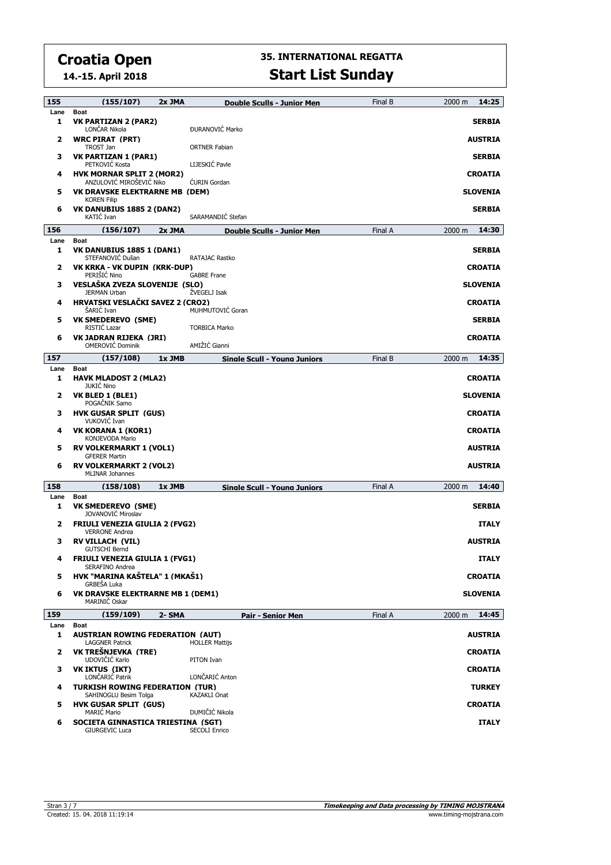**14.-15. April 2018**

| 155       | (155/107)                                                            | 2x JMA | <b>Double Sculls - Junior Men</b>     | Final B | 14:25<br>2000 m |
|-----------|----------------------------------------------------------------------|--------|---------------------------------------|---------|-----------------|
| Lane      | <b>Boat</b>                                                          |        |                                       |         |                 |
| 1         | VK PARTIZAN 2 (PAR2)<br>LONČAR Nikola                                |        | ĐURANOVIĆ Marko                       |         | <b>SERBIA</b>   |
| 2         | <b>WRC PIRAT (PRT)</b><br>TROST Jan                                  |        | <b>ORTNER Fabian</b>                  |         | <b>AUSTRIA</b>  |
| з         | VK PARTIZAN 1 (PAR1)<br>PETKOVIĆ Kosta                               |        | LIJESKIĆ Pavle                        |         | <b>SERBIA</b>   |
| 4         | <b>HVK MORNAR SPLIT 2 (MOR2)</b><br>ANZULOVIĆ MIROŠEVIĆ Niko         |        | <b>CURIN</b> Gordan                   |         | <b>CROATIA</b>  |
| 5         | VK DRAVSKE ELEKTRARNE MB (DEM)                                       |        |                                       |         | <b>SLOVENIA</b> |
| 6         | <b>KOREN Filip</b><br><b>VK DANUBIUS 1885 2 (DAN2)</b><br>KATIC Ivan |        | SARAMANDIĆ Stefan                     |         | <b>SERBIA</b>   |
| 156       | (156/107)                                                            | 2x JMA | <b>Double Sculls - Junior Men</b>     | Final A | 14:30<br>2000 m |
| Lane      | <b>Boat</b>                                                          |        |                                       |         |                 |
| 1         | <b>VK DANUBIUS 1885 1 (DAN1)</b><br>STEFANOVIĆ Dušan                 |        | RATAJAC Rastko                        |         | <b>SERBIA</b>   |
| 2         | VK KRKA - VK DUPIN (KRK-DUP)<br>PERIŠIĆ Nino                         |        | <b>GABRE Frane</b>                    |         | <b>CROATIA</b>  |
| з         | VESLAŠKA ZVEZA SLOVENIJE (SLO)<br><b>JERMAN Urban</b>                |        | ŽVEGELJ Isak                          |         | <b>SLOVENIA</b> |
| 4         | HRVATSKI VESLAČKI SAVEZ 2 (CRO2)<br><b>SARIC Ivan</b>                |        | MUHMUTOVIĆ Goran                      |         | <b>CROATIA</b>  |
| 5         | <b>VK SMEDEREVO (SME)</b>                                            |        |                                       |         | <b>SERBIA</b>   |
| 6         | RISTIC Lazar<br>VK JADRAN RIJEKA (JRI)<br><b>OMEROVIĆ Dominik</b>    |        | <b>TORBICA Marko</b><br>AMIŽIĆ Gianni |         | <b>CROATIA</b>  |
| 157       | (157/108)                                                            | 1x JMB | <b>Single Scull - Young Juniors</b>   | Final B | 14:35<br>2000 m |
| Lane      | <b>Boat</b>                                                          |        |                                       |         |                 |
| 1         | <b>HAVK MLADOST 2 (MLA2)</b><br><b>JUKIC Nino</b>                    |        |                                       |         | <b>CROATIA</b>  |
| 2         | VK BLED 1 (BLE1)<br>POGAČNIK Samo                                    |        |                                       |         | <b>SLOVENIA</b> |
| з         | <b>HVK GUSAR SPLIT (GUS)</b><br>VUKOVIĆ Ivan                         |        |                                       |         | <b>CROATIA</b>  |
| 4         | VK KORANA 1 (KOR1)<br>KONJEVODA Mario                                |        |                                       |         | <b>CROATIA</b>  |
| 5         | <b>RV VOLKERMARKT 1 (VOL1)</b><br><b>GFERER Martin</b>               |        |                                       |         | <b>AUSTRIA</b>  |
| 6         | <b>RV VOLKERMARKT 2 (VOL2)</b><br><b>MLINAR Johannes</b>             |        |                                       |         | <b>AUSTRIA</b>  |
| 158       | (158/108)                                                            | 1x JMB | <b>Single Scull - Young Juniors</b>   | Final A | 14:40<br>2000 m |
| Lane      | Boat                                                                 |        |                                       |         |                 |
| 1         | <b>VK SMEDEREVO (SME)</b><br><b>JOVANOVIC Miroslav</b>               |        |                                       |         | <b>SERBIA</b>   |
| 2         | <b>FRIULI VENEZIA GIULIA 2 (FVG2)</b><br><b>VERRONE Andrea</b>       |        |                                       |         | <b>ITALY</b>    |
| з         | <b>RV VILLACH (VIL)</b><br><b>GUTSCHI Bernd</b>                      |        |                                       |         | <b>AUSTRIA</b>  |
| 4         | <b>FRIULI VENEZIA GIULIA 1 (FVG1)</b><br>SERAFINO Andrea             |        |                                       |         | <b>ITALY</b>    |
| 5         | HVK "MARINA KAŠTELA" 1 (MKAŠ1)<br>GRBEŠA Luka                        |        |                                       |         | <b>CROATIA</b>  |
| 6         | <b>VK DRAVSKE ELEKTRARNE MB 1 (DEM1)</b><br>MARINIČ Oskar            |        |                                       |         | <b>SLOVENIA</b> |
| 159       | (159/109)                                                            | 2- SMA | Pair - Senior Men                     | Final A | 14:45<br>2000 m |
| Lane<br>1 | <b>Boat</b><br><b>AUSTRIAN ROWING FEDERATION (AUT)</b>               |        |                                       |         | <b>AUSTRIA</b>  |
|           | <b>LAGGNER Patrick</b><br>VK TREŠNJEVKA (TRE)                        |        | <b>HOLLER Mattijs</b>                 |         |                 |
| 2         | UDOVIČIĆ Karlo                                                       |        | PITON Ivan                            |         | <b>CROATIA</b>  |
| з         | <b>VK IKTUS (IKT)</b><br>LONČARIĆ Patrik                             |        | LONČARIĆ Anton                        |         | <b>CROATIA</b>  |
| 4         | <b>TURKISH ROWING FEDERATION (TUR)</b><br>SAHINOGLU Besim Tolga      |        | <b>KAZAKLI Onat</b>                   |         | <b>TURKEY</b>   |
| 5         | <b>HVK GUSAR SPLIT (GUS)</b><br><b>MARIĆ Mario</b>                   |        | DUMIČIĆ Nikola                        |         | <b>CROATIA</b>  |
| 6         | SOCIETA GINNASTICA TRIESTINA (SGT)<br><b>GIURGEVIC Luca</b>          |        | <b>SECOLI Enrico</b>                  |         | <b>ITALY</b>    |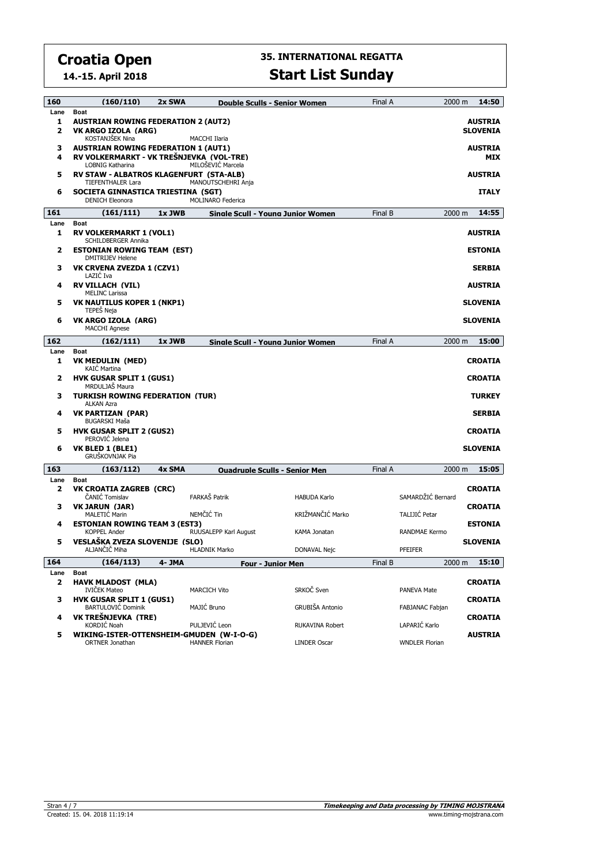**14.-15. April 2018**

| 160  | (160/110)                                                      | 2x SWA |                          | <b>Double Sculls - Senior Women</b>  | Final A | 2000 m                | 14:50           |
|------|----------------------------------------------------------------|--------|--------------------------|--------------------------------------|---------|-----------------------|-----------------|
| Lane | <b>Boat</b>                                                    |        |                          |                                      |         |                       |                 |
| 1    | <b>AUSTRIAN ROWING FEDERATION 2 (AUT2)</b>                     |        |                          |                                      |         |                       | <b>AUSTRIA</b>  |
| 2    | VK ARGO IZOLA (ARG)<br><b>KOSTANJŠEK Nina</b>                  |        | MACCHI Ilaria            |                                      |         |                       | <b>SLOVENIA</b> |
| з    | <b>AUSTRIAN ROWING FEDERATION 1 (AUT1)</b>                     |        |                          |                                      |         |                       | <b>AUSTRIA</b>  |
| 4    | RV VOLKERMARKT - VK TREŠNJEVKA (VOL-TRE)                       |        |                          |                                      |         |                       | MIX             |
|      | <b>LOBNIG Katharina</b>                                        |        | MILOŠEVIĆ Marcela        |                                      |         |                       |                 |
| 5    | RV STAW - ALBATROS KLAGENFURT (STA-ALB)                        |        |                          |                                      |         |                       | <b>AUSTRIA</b>  |
| 6    | <b>TIEFENTHALER Lara</b><br>SOCIETA GINNASTICA TRIESTINA (SGT) |        | MANOUTSCHEHRI Anja       |                                      |         |                       | <b>ITALY</b>    |
|      | <b>DENICH Eleonora</b>                                         |        | <b>MOLINARO Federica</b> |                                      |         |                       |                 |
| 161  | (161/111)                                                      | 1x JWB |                          | Sinale Scull - Youna Junior Women    | Final B | 2000 m                | 14:55           |
| Lane | <b>Boat</b>                                                    |        |                          |                                      |         |                       |                 |
| 1    | <b>RV VOLKERMARKT 1 (VOL1)</b>                                 |        |                          |                                      |         |                       | <b>AUSTRIA</b>  |
|      | <b>SCHILDBERGER Annika</b>                                     |        |                          |                                      |         |                       |                 |
| 2    | <b>ESTONIAN ROWING TEAM (EST)</b><br><b>DMITRIJEV Helene</b>   |        |                          |                                      |         |                       | <b>ESTONIA</b>  |
| з    | VK CRVENA ZVEZDA 1 (CZV1)                                      |        |                          |                                      |         |                       | <b>SERBIA</b>   |
|      | LAZIĆ Iva                                                      |        |                          |                                      |         |                       |                 |
| 4    | <b>RV VILLACH (VIL)</b>                                        |        |                          |                                      |         |                       | <b>AUSTRIA</b>  |
| 5    | <b>MELINC Larissa</b><br><b>VK NAUTILUS KOPER 1 (NKP1)</b>     |        |                          |                                      |         |                       | <b>SLOVENIA</b> |
|      | <b>TEPES Neja</b>                                              |        |                          |                                      |         |                       |                 |
| 6    | VK ARGO IZOLA (ARG)                                            |        |                          |                                      |         |                       | <b>SLOVENIA</b> |
|      | <b>MACCHI Agnese</b>                                           |        |                          |                                      |         |                       |                 |
| 162  | (162/111)                                                      | 1x JWB |                          | Sinale Scull - Youna Junior Women    | Final A | 2000 m                | 15:00           |
| Lane | <b>Boat</b>                                                    |        |                          |                                      |         |                       |                 |
| 1    | <b>VK MEDULIN (MED)</b><br><b>KAIC Martina</b>                 |        |                          |                                      |         |                       | <b>CROATIA</b>  |
| 2    | <b>HVK GUSAR SPLIT 1 (GUS1)</b><br>MRDULJAŠ Maura              |        |                          |                                      |         |                       | <b>CROATIA</b>  |
| з    | <b>TURKISH ROWING FEDERATION (TUR)</b>                         |        |                          |                                      |         |                       | <b>TURKEY</b>   |
|      | <b>ALKAN Azra</b>                                              |        |                          |                                      |         |                       |                 |
| 4    | <b>VK PARTIZAN (PAR)</b>                                       |        |                          |                                      |         |                       | <b>SERBIA</b>   |
| 5    | <b>BUGARSKI Maša</b><br><b>HVK GUSAR SPLIT 2 (GUS2)</b>        |        |                          |                                      |         |                       | <b>CROATIA</b>  |
|      | PEROVIĆ Jelena                                                 |        |                          |                                      |         |                       |                 |
| 6    | VK BLED 1 (BLE1)                                               |        |                          |                                      |         |                       | <b>SLOVENIA</b> |
|      | <b>GRUŠKOVNJAK Pia</b>                                         |        |                          |                                      |         |                       |                 |
| 163  | (163/112)                                                      | 4x SMA |                          | <b>Ouadrunie Sculis - Senior Men</b> | Final A | $2000 \; \text{m}$    | 15:05           |
| Lane | <b>Boat</b>                                                    |        |                          |                                      |         |                       |                 |
| 2    | VK CROATIA ZAGREB (CRC)<br>ČANIĆ Tomislav                      |        | FARKAŠ Patrik            |                                      |         | SAMARDŽIĆ Bernard     | <b>CROATIA</b>  |
| з    | <b>VK JARUN (JAR)</b>                                          |        |                          | <b>HABUDA Karlo</b>                  |         |                       | <b>CROATIA</b>  |
|      | <b>MALETIC Marin</b>                                           |        | NEMČIĆ Tin               | KRIŽMANČIĆ Marko                     |         | TALIJIĆ Petar         |                 |
| 4    | <b>ESTONIAN ROWING TEAM 3 (EST3)</b>                           |        |                          |                                      |         |                       | <b>ESTONIA</b>  |
|      | <b>KOPPEL Ander</b>                                            |        | RUUSALEPP Karl August    | <b>KAMA Jonatan</b>                  |         | <b>RANDMAE Kermo</b>  |                 |
| 5    | VESLAŠKA ZVEZA SLOVENIJE (SLO)<br>ALJANČIČ Miha                |        | <b>HLADNIK Marko</b>     | DONAVAL Nejc                         |         | PFEIFER               | <b>SLOVENIA</b> |
| 164  | (164/113)                                                      |        |                          |                                      |         | 2000 m                | 15:10           |
| Lane | Boat                                                           | 4- JMA |                          | <b>Four - Junior Men</b>             | Final B |                       |                 |
| 2    | <b>HAVK MLADOST (MLA)</b>                                      |        |                          |                                      |         |                       | <b>CROATIA</b>  |
|      | <b>IVIČEK Mateo</b>                                            |        | <b>MARCICH Vito</b>      | SRKOČ Sven                           |         | PANEVA Mate           |                 |
| з    | <b>HVK GUSAR SPLIT 1 (GUS1)</b>                                |        |                          |                                      |         |                       | <b>CROATIA</b>  |
| 4    | <b>BARTULOVIC Dominik</b><br>VK TREŠNJEVKA (TRE)               |        | MAJIĆ Bruno              | GRUBIŠA Antonio                      |         | FABJANAC Fabjan       |                 |
|      | KORDIĆ Noah                                                    |        | PULJEVIĆ Leon            | RUKAVINA Robert                      |         | LAPARIĆ Karlo         | <b>CROATIA</b>  |
| 5    | WIKING-ISTER-OTTENSHEIM-GMUDEN (W-I-O-G)                       |        |                          |                                      |         |                       | <b>AUSTRIA</b>  |
|      | <b>ORTNER Jonathan</b>                                         |        | <b>HANNER Florian</b>    | <b>LINDER Oscar</b>                  |         | <b>WNDLER Florian</b> |                 |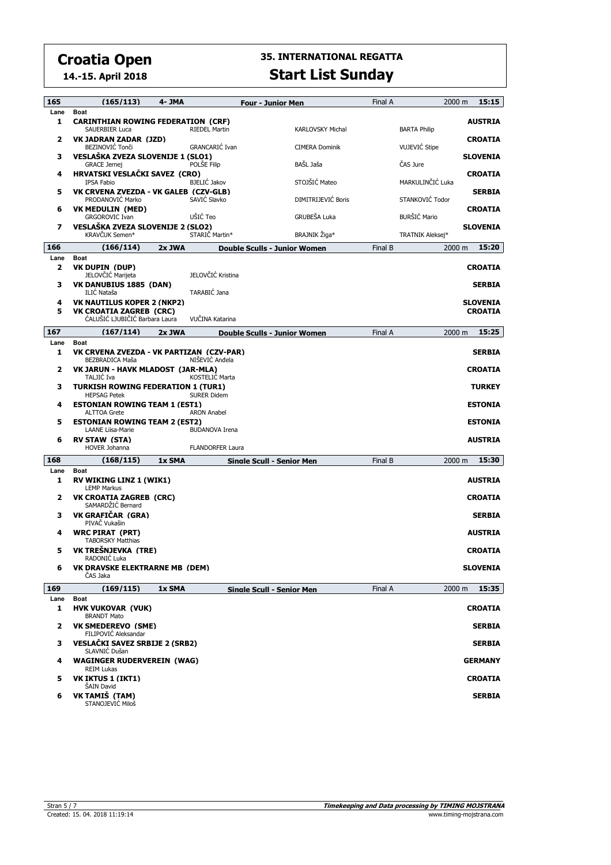**14.-15. April 2018**

| 165          | (165/113)                                                                         | 4- JMA |                         | <b>Four - Junior Men</b>            |                         | Final A | 2000 m               | 15:15                             |
|--------------|-----------------------------------------------------------------------------------|--------|-------------------------|-------------------------------------|-------------------------|---------|----------------------|-----------------------------------|
| Lane<br>1    | <b>Boat</b><br><b>CARINTHIAN ROWING FEDERATION (CRF)</b><br><b>SAUERBIER Luca</b> |        | <b>RIEDEL Martin</b>    |                                     | <b>KARLOVSKY Michal</b> |         | <b>BARTA Philip</b>  | <b>AUSTRIA</b>                    |
| 2            | VK JADRAN ZADAR (JZD)<br>BEZINOVIĆ Tonči                                          |        | GRANCARIĆ Ivan          |                                     | <b>CIMERA Dominik</b>   |         | <b>VUJEVIĆ Stipe</b> | <b>CROATIA</b>                    |
| з            | VESLAŠKA ZVEZA SLOVENIJE 1 (SLO1)<br><b>GRACE Jernej</b>                          |        | POLŠE Filip             |                                     | BAŠL Jaša               |         | ČAS Jure             | <b>SLOVENIA</b>                   |
| 4            | HRVATSKI VESLAČKI SAVEZ (CRO)<br>IPSA Fabio                                       |        | <b>BJELIĆ Jakov</b>     |                                     | STOJŠIĆ Mateo           |         | MARKULINČIĆ Luka     | <b>CROATIA</b>                    |
| 5            | VK CRVENA ZVEZDA - VK GALEB (CZV-GLB)<br>PRODANOVIĆ Marko                         |        | SAVIĆ Slavko            |                                     | DIMITRIJEVIĆ Boris      |         | STANKOVIĆ Todor      | <b>SERBIA</b>                     |
| 6            | <b>VK MEDULIN (MED)</b><br><b>GRGOROVIC Ivan</b>                                  |        | UŠIĆ Teo                |                                     | GRUBEŠA Luka            |         | <b>BURŠIĆ Mario</b>  | <b>CROATIA</b>                    |
| 7            | VESLAŠKA ZVEZA SLOVENIJE 2 (SLO2)<br>KRAVČUK Semen*                               |        | STARIČ Martin*          |                                     | BRAJNIK Žiga*           |         | TRATNIK Aleksei*     | <b>SLOVENIA</b>                   |
| 166          | (166/114)                                                                         | 2x JWA |                         | Double Sculls - Junior Women        |                         | Final B | 2000 m               | 15:20                             |
| Lane<br>2    | <b>Boat</b><br>VK DUPIN (DUP)                                                     |        |                         |                                     |                         |         |                      | <b>CROATIA</b>                    |
| з            | JELOVČIĆ Marijeta<br>VK DANUBIUS 1885 (DAN)                                       |        | JELOVČIĆ Kristina       |                                     |                         |         |                      | <b>SERBIA</b>                     |
|              | ILIC Nataša                                                                       |        | TARABIĆ Jana            |                                     |                         |         |                      |                                   |
| 4<br>5       | <b>VK NAUTILUS KOPER 2 (NKP2)</b><br><b>VK CROATIA ZAGREB (CRC)</b>               |        |                         |                                     |                         |         |                      | <b>SLOVENIA</b><br><b>CROATIA</b> |
| 167          | ĆALUŠIĆ LJUBIČIĆ Barbara Laura<br>(167/114)                                       |        | VUČINA Katarina         |                                     |                         |         |                      | 15:25                             |
|              |                                                                                   | 2x JWA |                         | <b>Double Sculls - Junior Women</b> |                         | Final A | 2000 m               |                                   |
| Lane<br>1    | <b>Boat</b><br>VK CRVENA ZVEZDA - VK PARTIZAN (CZV-PAR)<br>BEZBRADICA Maša        |        | NIŠEVIĆ Anđela          |                                     |                         |         |                      | <b>SERBIA</b>                     |
| 2            | VK JARUN - HAVK MLADOST (JAR-MLA)<br>TALJIĆ Iva                                   |        | KOSTELIC Marta          |                                     |                         |         |                      | <b>CROATIA</b>                    |
| з            | <b>TURKISH ROWING FEDERATION 1 (TUR1)</b><br><b>HEPSAG Petek</b>                  |        | <b>SURER Didem</b>      |                                     |                         |         |                      | <b>TURKEY</b>                     |
| 4            | <b>ESTONIAN ROWING TEAM 1 (EST1)</b><br><b>ALTTOA Grete</b>                       |        | <b>ARON Anabel</b>      |                                     |                         |         |                      | <b>ESTONIA</b>                    |
| 5            | <b>ESTONIAN ROWING TEAM 2 (EST2)</b><br><b>LAANE Liisa-Marie</b>                  |        | <b>BUDANOVA Irena</b>   |                                     |                         |         |                      | <b>ESTONIA</b>                    |
| 6            | <b>RV STAW (STA)</b><br><b>HOVER Johanna</b>                                      |        | <b>FLANDORFER Laura</b> |                                     |                         |         |                      | <b>AUSTRIA</b>                    |
| 168          | (168/115)                                                                         | 1x SMA |                         | Sinale Scull - Senior Men           |                         | Final B | 2000 m               | 15:30                             |
| Lane<br>1    | <b>Boat</b><br><b>RV WIKING LINZ 1 (WIK1)</b><br><b>LEMP Markus</b>               |        |                         |                                     |                         |         |                      | <b>AUSTRIA</b>                    |
| 2            | <b>VK CROATIA ZAGREB (CRC)</b><br>SAMARDŽIĆ Bernard                               |        |                         |                                     |                         |         |                      | <b>CROATIA</b>                    |
| з            | VK GRAFIČAR (GRA)<br>PIVAČ Vukašin                                                |        |                         |                                     |                         |         |                      | <b>SERBIA</b>                     |
| 4            | <b>WRC PIRAT (PRT)</b><br><b>TABORSKY Matthias</b>                                |        |                         |                                     |                         |         |                      | <b>AUSTRIA</b>                    |
| 5            | VK TREŠNJEVKA (TRE)<br>RADONIĆ Luka                                               |        |                         |                                     |                         |         |                      | <b>CROATIA</b>                    |
| 6            | <b>VK DRAVSKE ELEKTRARNE MB (DEM)</b><br>ČAS Jaka                                 |        |                         |                                     |                         |         |                      | <b>SLOVENIA</b>                   |
| 169          | (169/115)                                                                         | 1x SMA |                         | Sinale Scull - Senior Men           |                         | Final A | 2000 m               | 15:35                             |
| Lane         | Boat                                                                              |        |                         |                                     |                         |         |                      |                                   |
| 1            | <b>HVK VUKOVAR (VUK)</b><br><b>BRANDT Mato</b>                                    |        |                         |                                     |                         |         |                      | <b>CROATIA</b>                    |
| $\mathbf{2}$ | <b>VK SMEDEREVO (SME)</b><br>FILIPOVIĆ Aleksandar                                 |        |                         |                                     |                         |         |                      | <b>SERBIA</b>                     |
| з            | VESLAČKI SAVEZ SRBIJE 2 (SRB2)<br>SLAVNIĆ Dušan                                   |        |                         |                                     |                         |         |                      | <b>SERBIA</b>                     |
| 4            | <b>WAGINGER RUDERVEREIN (WAG)</b><br><b>REIM Lukas</b>                            |        |                         |                                     |                         |         |                      | <b>GERMANY</b>                    |
| 5            | <b>VK IKTUS 1 (IKT1)</b><br><b>SAIN David</b>                                     |        |                         |                                     |                         |         |                      | <b>CROATIA</b>                    |
| 6            | VK TAMIŠ (TAM)<br>STANOJEVIĆ Miloš                                                |        |                         |                                     |                         |         |                      | <b>SERBIA</b>                     |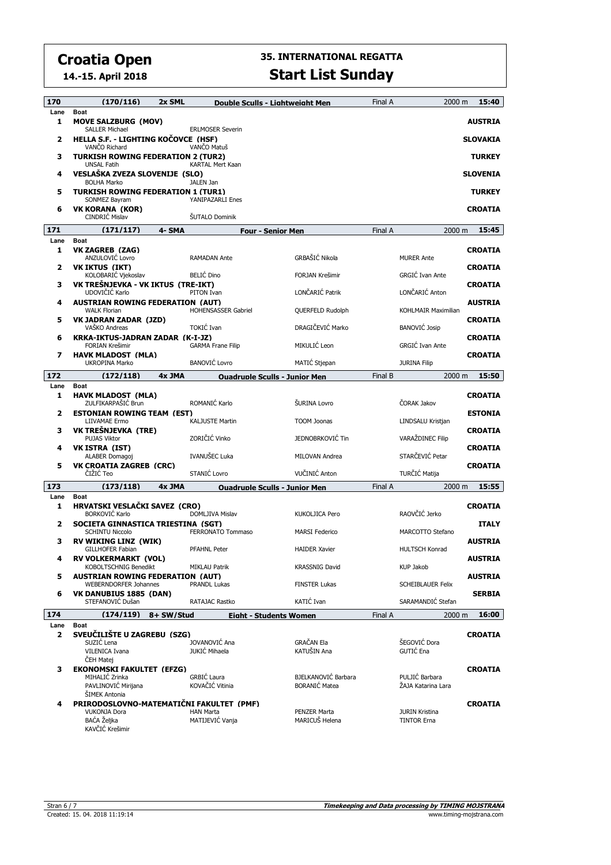**14.-15. April 2018**

| 170       | (170/116)                                                                                   | 2x SML                                 | Double Sculls - Liahtweiaht Men             | Final A | 2000 m                                      | 15:40                            |
|-----------|---------------------------------------------------------------------------------------------|----------------------------------------|---------------------------------------------|---------|---------------------------------------------|----------------------------------|
| Lane<br>1 | <b>Boat</b><br><b>MOVE SALZBURG (MOV)</b><br><b>SALLER Michael</b>                          |                                        |                                             |         |                                             | <b>AUSTRIA</b>                   |
| 2         | HELLA S.F. - LIGHTING KOCOVCE (HSF)<br>VANCO Richard                                        | <b>ERLMOSER Severin</b><br>VANČO Matuš |                                             |         |                                             | <b>SLOVAKIA</b>                  |
| 3         | <b>TURKISH ROWING FEDERATION 2 (TUR2)</b><br><b>UNSAL Fatih</b>                             | KARTAL Mert Kaan                       |                                             |         |                                             | <b>TURKEY</b>                    |
| 4         | VESLAŠKA ZVEZA SLOVENIJE (SLO)<br><b>BOLHA Marko</b>                                        | JALEN Jan                              |                                             |         |                                             | <b>SLOVENIA</b>                  |
| 5         | <b>TURKISH ROWING FEDERATION 1 (TUR1)</b><br>SONMEZ Bayram                                  | YANIPAZARLI Enes                       |                                             |         |                                             | <b>TURKEY</b>                    |
| 6         | VK KORANA (KOR)<br>CINDRIC Mislav                                                           | ŠUTALO Dominik                         |                                             |         |                                             | <b>CROATIA</b>                   |
| 171       | (171/117)                                                                                   | 4- SMA                                 | <b>Four - Senior Men</b>                    | Final A | 2000 m                                      | 15:45                            |
| Lane      | <b>Boat</b>                                                                                 |                                        |                                             |         |                                             |                                  |
| 1         | VK ZAGREB (ZAG)<br>ANZULOVIC Lovro                                                          | <b>RAMADAN Ante</b>                    | GRBAŠIĆ Nikola                              |         | <b>MURER Ante</b>                           | <b>CROATIA</b>                   |
| 2         | <b>VK IKTUS (IKT)</b><br>KOLOBARIĆ Vjekoslav                                                | <b>BELIĆ Dino</b>                      | FORJAN Krešimir                             |         | <b>GRGIĆ Ivan Ante</b>                      | <b>CROATIA</b>                   |
| з         | VK TREŠNJEVKA - VK IKTUS (TRE-IKT)<br>UDOVIČIĆ Karlo                                        | PITON Ivan                             | LONČARIĆ Patrik                             |         | LONČARIĆ Anton                              | <b>CROATIA</b>                   |
| 4         | <b>AUSTRIAN ROWING FEDERATION (AUT)</b><br><b>WALK Florian</b>                              | <b>HOHENSASSER Gabriel</b>             | QUERFELD Rudolph                            |         | KOHLMAIR Maximilian                         | <b>AUSTRIA</b>                   |
| 5         | <b>VK JADRAN ZADAR (JZD)</b><br>VAŠKO Andreas                                               | TOKIĆ Ivan                             | DRAGIČEVIĆ Marko                            |         | <b>BANOVIĆ Josip</b>                        | <b>CROATIA</b>                   |
| 6         | KRKA-IKTUS-JADRAN ZADAR (K-I-JZ)<br><b>FORIAN Krešimir</b>                                  | <b>GARMA Frane Filip</b>               | MIKULIĆ Leon                                |         | GRGIĆ Ivan Ante                             | <b>CROATIA</b>                   |
| 7         | <b>HAVK MLADOST (MLA)</b><br>UKROPINA Marko                                                 | <b>BANOVIĆ Lovro</b>                   | MATIC Stjepan                               |         | <b>JURINA Filip</b>                         | <b>CROATIA</b>                   |
| 172       | (172/118)                                                                                   | 4x JMA                                 | <b>Ouadrunle Sculls - Junior Men</b>        | Final B | 2000 m                                      | 15:50                            |
| Lane<br>1 | <b>Boat</b><br><b>HAVK MLADOST (MLA)</b>                                                    |                                        |                                             |         |                                             | <b>CROATIA</b>                   |
| 2         | ZULFIKARPAŠIĆ Brun<br><b>ESTONIAN ROWING TEAM (EST)</b>                                     | ROMANIĆ Karlo                          | ŠURINA Lovro                                |         | ČORAK Jakov                                 | <b>ESTONIA</b>                   |
| з         | LIIVAMAE Ermo<br>VK TREŠNJEVKA (TRE)                                                        | <b>KALJUSTE Martin</b>                 | <b>TOOM Joonas</b>                          |         | LINDSALU Kristjan                           | <b>CROATIA</b>                   |
| 4         | <b>PUJAS Viktor</b><br><b>VK ISTRA (IST)</b>                                                | ZORIČIĆ Vinko                          | JEDNOBRKOVIĆ Tin                            |         | VARAŽDINEC Filip                            | <b>CROATIA</b>                   |
| 5         | ALABER Domagoj<br><b>VK CROATIA ZAGREB (CRC)</b>                                            | IVANUŠEC Luka                          | MILOVAN Andrea                              |         | STARČEVIĆ Petar                             | <b>CROATIA</b>                   |
|           | ČIŽIĆ Teo                                                                                   | STANIĆ Lovro                           | VUČINIĆ Anton                               |         | TURČIĆ Matija                               |                                  |
| 173       | (173/118)                                                                                   | 4x JMA                                 | <b>Ouadruple Sculls - Junior Men</b>        | Final A | 2000 m                                      | 15:55                            |
| Lane      | <b>Boat</b>                                                                                 |                                        |                                             |         |                                             |                                  |
| 1         | HRVATSKI VESLAČKI SAVEZ (CRO)<br><b>BORKOVIĆ Karlo</b>                                      | <b>DOMLJIVA Mislav</b>                 | <b>KUKOLJICA Pero</b>                       |         | RAOVČIĆ Jerko                               | <b>CROATIA</b>                   |
| 2         | SOCIETA GINNASTICA TRIESTINA (SGT)<br><b>SCHINTU Niccolo</b><br><b>RV WIKING LINZ (WIK)</b> | <b>FERRONATO Tommaso</b>               | <b>MARSI Federico</b>                       |         | MARCOTTO Stefano                            | <b>ITALY</b>                     |
| з<br>4    | <b>GILLHOFER Fabian</b><br>RV VOLKERMARKT (VOL)                                             | <b>PFAHNL Peter</b>                    | <b>HAIDER Xavier</b>                        |         | <b>HULTSCH Konrad</b>                       | <b>AUSTRIA</b><br><b>AUSTRIA</b> |
| 5         | KOBOLTSCHNIG Benedikt<br><b>AUSTRIAN ROWING FEDERATION (AUT)</b>                            | MIKLAU Patrik                          | <b>KRASSNIG David</b>                       |         | <b>KUP Jakob</b>                            | <b>AUSTRIA</b>                   |
| 6         | <b>WEBERNDORFER Johannes</b><br>VK DANUBIUS 1885 (DAN)                                      | PRANDL Lukas                           | <b>FINSTER Lukas</b>                        |         | <b>SCHEIBLAUER Felix</b>                    | <b>SERBIA</b>                    |
|           | STEFANOVIĆ Dušan                                                                            | RATAJAC Rastko                         | KATIĆ Ivan                                  |         | SARAMANDIĆ Stefan                           |                                  |
| 174       | (174/119)                                                                                   | 8+ SW/Stud                             | <b>Eight - Students Women</b>               | Final A | 2000 m                                      | 16:00                            |
| Lane<br>2 | <b>Boat</b><br>SVEUČILIŠTE U ZAGREBU (SZG)<br>SUZIĆ Lena                                    | JOVANOVIĆ Ana                          | <b>GRAČAN Ela</b>                           |         | ŠEGOVIĆ Dora                                | <b>CROATIA</b>                   |
|           | VILENICA Ivana<br>ČEH Matej                                                                 | JUKIĆ Mihaela                          | KATUŠIN Ana                                 |         | GUTIĆ Ena                                   |                                  |
| з         | <b>EKONOMSKI FAKULTET (EFZG)</b>                                                            |                                        |                                             |         |                                             | <b>CROATIA</b>                   |
|           | MIHALIĆ Zrinka<br>PAVLINOVIĆ Mirijana                                                       | <b>GRBIĆ Laura</b><br>KOVAČIĆ Vitinia  | BJELKANOVIĆ Barbara<br><b>BORANIĆ Matea</b> |         | PULJIĆ Barbara<br>ŽAJA Katarina Lara        |                                  |
| 4         | ŠIMEK Antonia<br>PRIRODOSLOVNO-MATEMATIČNI FAKULTET (PMF)                                   |                                        |                                             |         |                                             | <b>CROATIA</b>                   |
|           | <b>VUKONJA Dora</b><br>BAĆA Željka<br>KAVČIĆ Krešimir                                       | <b>HAN Marta</b><br>MATIJEVIĆ Vanja    | PENZER Marta<br>MARICUŠ Helena              |         | <b>JURIN Kristina</b><br><b>TINTOR Erna</b> |                                  |
|           |                                                                                             |                                        |                                             |         |                                             |                                  |